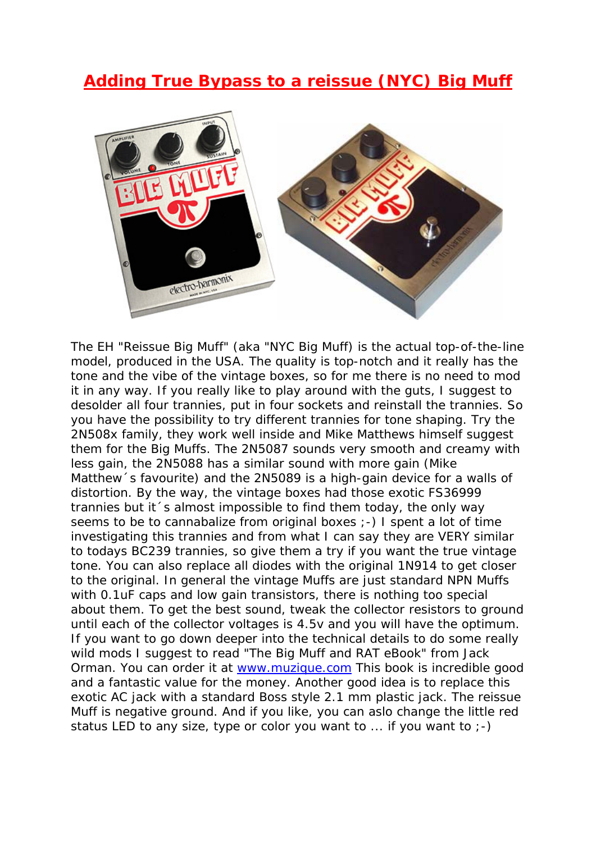## **Adding True Bypass to a reissue (NYC) Big Muff**



The EH "Reissue Big Muff" (aka "NYC Big Muff) is the actual top-of-the-line model, produced in the USA. The quality is top-notch and it really has the tone and the vibe of the vintage boxes, so for me there is no need to mod it in any way. If you really like to play around with the guts, I suggest to desolder all four trannies, put in four sockets and reinstall the trannies. So you have the possibility to try different trannies for tone shaping. Try the 2N508x family, they work well inside and Mike Matthews himself suggest them for the Big Muffs. The 2N5087 sounds very smooth and creamy with less gain, the 2N5088 has a similar sound with more gain (Mike Matthew´s favourite) and the 2N5089 is a high-gain device for a walls of distortion. By the way, the vintage boxes had those exotic FS36999 trannies but it´s almost impossible to find them today, the only way seems to be to cannabalize from original boxes :-) I spent a lot of time investigating this trannies and from what I can say they are VERY similar to todays BC239 trannies, so give them a try if you want the true vintage tone. You can also replace all diodes with the original 1N914 to get closer to the original. In general the vintage Muffs are just standard NPN Muffs with 0.1uF caps and low gain transistors, there is nothing too special about them. To get the best sound, tweak the collector resistors to ground until each of the collector voltages is 4.5v and you will have the optimum. If you want to go down deeper into the technical details to do some really wild mods I suggest to read "The Big Muff and RAT eBook" from Jack Orman. You can order it at www.muzique.com This book is incredible good and a fantastic value for the money. Another good idea is to replace this exotic AC jack with a standard Boss style 2.1 mm plastic jack. The reissue Muff is negative ground. And if you like, you can aslo change the little red status LED to any size, type or color you want to ... if you want to  $(-)$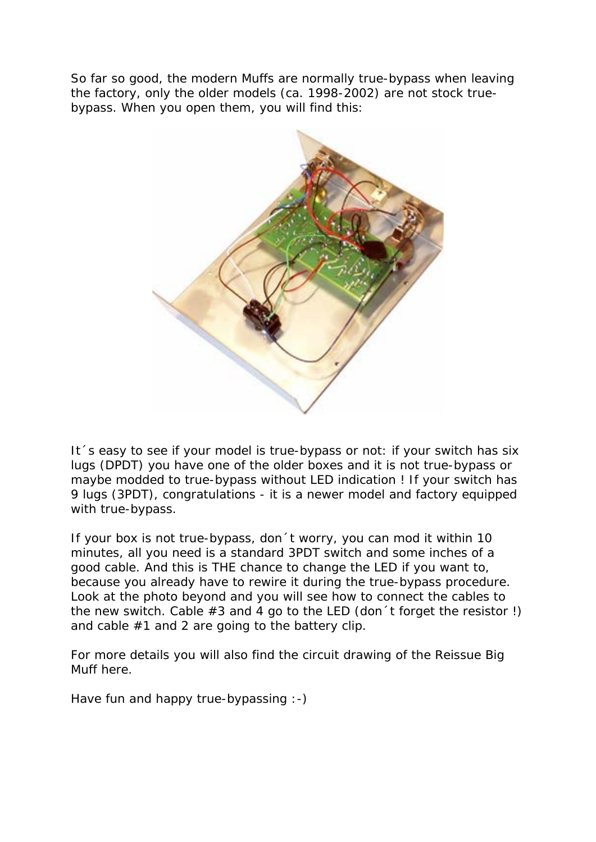So far so good, the modern Muffs are normally true-bypass when leaving the factory, only the older models (ca. 1998-2002) are not stock truebypass. When you open them, you will find this:



It 's easy to see if your model is true-bypass or not: if your switch has six lugs (DPDT) you have one of the older boxes and it is not true-bypass or maybe modded to true-bypass without LED indication ! If your switch has 9 lugs (3PDT), congratulations - it is a newer model and factory equipped with true-bypass.

If your box is not true-bypass, don´t worry, you can mod it within 10 minutes, all you need is a standard 3PDT switch and some inches of a good cable. And this is THE chance to change the LED if you want to, because you already have to rewire it during the true-bypass procedure. Look at the photo beyond and you will see how to connect the cables to the new switch. Cable  $#3$  and  $4$  go to the LED (don  $\acute{ }$ t forget the resistor !) and cable #1 and 2 are going to the battery clip.

For more details you will also find the circuit drawing of the Reissue Big Muff here.

Have fun and happy true-bypassing :-)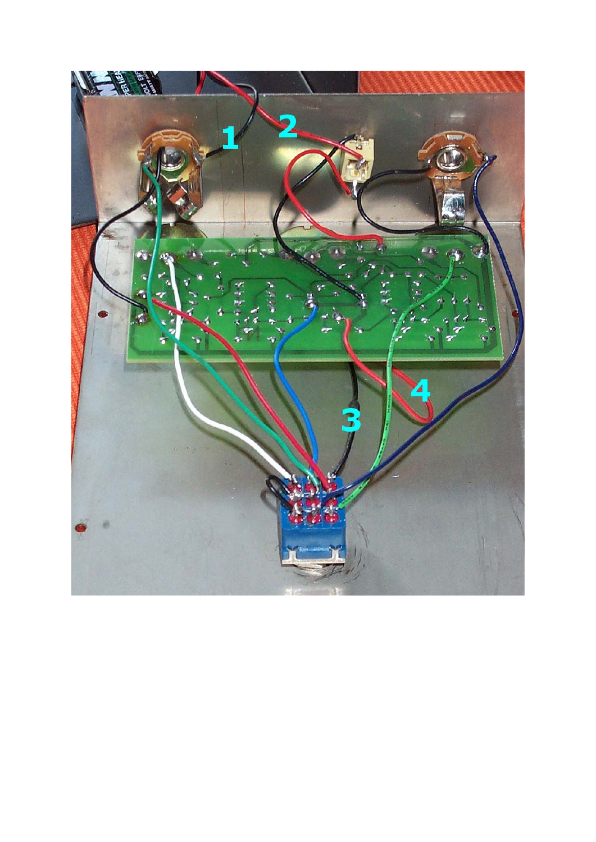